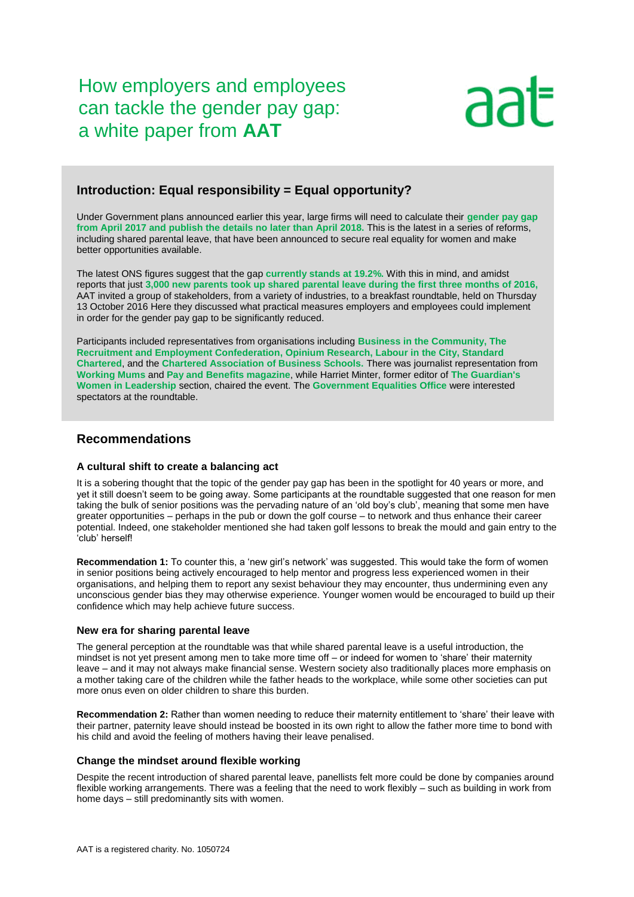How employers and employees can tackle the gender pay gap: a white paper from **[AAT](https://www.aat.org.uk/)**



# **Introduction: Equal responsibility = Equal opportunity?**

Under Government plans announced earlier this year, large firms will need to calculate their **[gender pay gap](https://www.gov.uk/government/uploads/system/uploads/attachment_data/file/504398/GPG_consultation_v8.pdf)  from April 2017 and publish [the details no later than April 2018.](https://www.gov.uk/government/uploads/system/uploads/attachment_data/file/504398/GPG_consultation_v8.pdf)** This is the latest in a series of reforms, including shared parental leave, that have been announced to secure real equality for women and make better opportunities available.

The latest ONS figures suggest that the gap **currentl[y stands at 19.2%.](http://visual.ons.gov.uk/what-is-the-gender-pay-gap/)** With this in mind, and amidst reports that just **[3,000 new parents took up shared parental leave during the first three months of 2016,](https://www.ft.com/content/afc3f2e0-5cb0-11e6-bb77-a121aa8abd95)** AAT invited a group of stakeholders, from a variety of industries, to a breakfast roundtable, held on Thursday 13 October 2016 Here they discussed what practical measures employers and employees could implement in order for the gender pay gap to be significantly reduced.

Participants included representatives from organisations including **[Business in the Community,](http://www.bitc.org.uk/) [The](https://www.rec.uk.com/)  [Recruitment and Employment Confederation,](https://www.rec.uk.com/) [Opinium Research,](http://opinium.co.uk/) [Labour in the City,](http://www.labourinthecity.org.uk/) [Standard](https://www.sc.com/en/)  [Chartered](https://www.sc.com/en/)**, and the **[Chartered Association of Business Schools.](https://charteredabs.org/)** There was journalist representation from **[Working Mums](https://www.workingmums.co.uk/)** and **[Pay and Benefits magazine](http://www.payandbenefitsmagazine.co.uk/)**, while Harriet Minter, former editor of **[The Guardian's](https://www.theguardian.com/women-in-leadership/women-in-business)  [Women in Leadership](https://www.theguardian.com/women-in-leadership/women-in-business)** section, chaired the event. The **[Government Equalities Office](https://www.gov.uk/government/organisations/government-equalities-office)** were interested spectators at the roundtable.

## **Recommendations**

### **A cultural shift to create a balancing act**

It is a sobering thought that the topic of the gender pay gap has been in the spotlight for 40 years or more, and yet it still doesn't seem to be going away. Some participants at the roundtable suggested that one reason for men taking the bulk of senior positions was the pervading nature of an 'old boy's club', meaning that some men have greater opportunities – perhaps in the pub or down the golf course – to network and thus enhance their career potential. Indeed, one stakeholder mentioned she had taken golf lessons to break the mould and gain entry to the 'club' herself!

**Recommendation 1:** To counter this, a 'new girl's network' was suggested. This would take the form of women in senior positions being actively encouraged to help mentor and progress less experienced women in their organisations, and helping them to report any sexist behaviour they may encounter, thus undermining even any unconscious gender bias they may otherwise experience. Younger women would be encouraged to build up their confidence which may help achieve future success.

### **New era for sharing parental leave**

The general perception at the roundtable was that while shared parental leave is a useful introduction, the mindset is not yet present among men to take more time off – or indeed for women to 'share' their maternity leave – and it may not always make financial sense. Western society also traditionally places more emphasis on a mother taking care of the children while the father heads to the workplace, while some other societies can put more onus even on older children to share this burden.

**Recommendation 2:** Rather than women needing to reduce their maternity entitlement to 'share' their leave with their partner, paternity leave should instead be boosted in its own right to allow the father more time to bond with his child and avoid the feeling of mothers having their leave penalised.

### **Change the mindset around flexible working**

Despite the recent introduction of shared parental leave, panellists felt more could be done by companies around flexible working arrangements. There was a feeling that the need to work flexibly – such as building in work from home days – still predominantly sits with women.